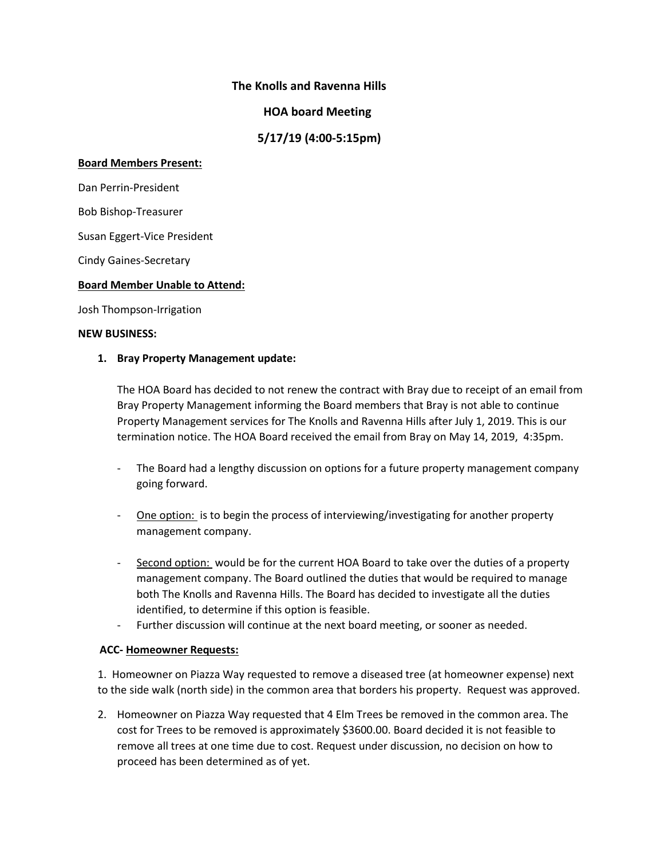# **The Knolls and Ravenna Hills**

# **HOA board Meeting**

 **5/17/19 (4:00-5:15pm)**

#### **Board Members Present:**

Dan Perrin-President

Bob Bishop-Treasurer

Susan Eggert-Vice President

Cindy Gaines-Secretary

### **Board Member Unable to Attend:**

Josh Thompson-Irrigation

### **NEW BUSINESS:**

### **1. Bray Property Management update:**

The HOA Board has decided to not renew the contract with Bray due to receipt of an email from Bray Property Management informing the Board members that Bray is not able to continue Property Management services for The Knolls and Ravenna Hills after July 1, 2019. This is our termination notice. The HOA Board received the email from Bray on May 14, 2019, 4:35pm.

- The Board had a lengthy discussion on options for a future property management company going forward.
- One option: is to begin the process of interviewing/investigating for another property management company.
- Second option: would be for the current HOA Board to take over the duties of a property management company. The Board outlined the duties that would be required to manage both The Knolls and Ravenna Hills. The Board has decided to investigate all the duties identified, to determine if this option is feasible.
- Further discussion will continue at the next board meeting, or sooner as needed.

### **ACC- Homeowner Requests:**

1. Homeowner on Piazza Way requested to remove a diseased tree (at homeowner expense) next to the side walk (north side) in the common area that borders his property. Request was approved.

2. Homeowner on Piazza Way requested that 4 Elm Trees be removed in the common area. The cost for Trees to be removed is approximately \$3600.00. Board decided it is not feasible to remove all trees at one time due to cost. Request under discussion, no decision on how to proceed has been determined as of yet.